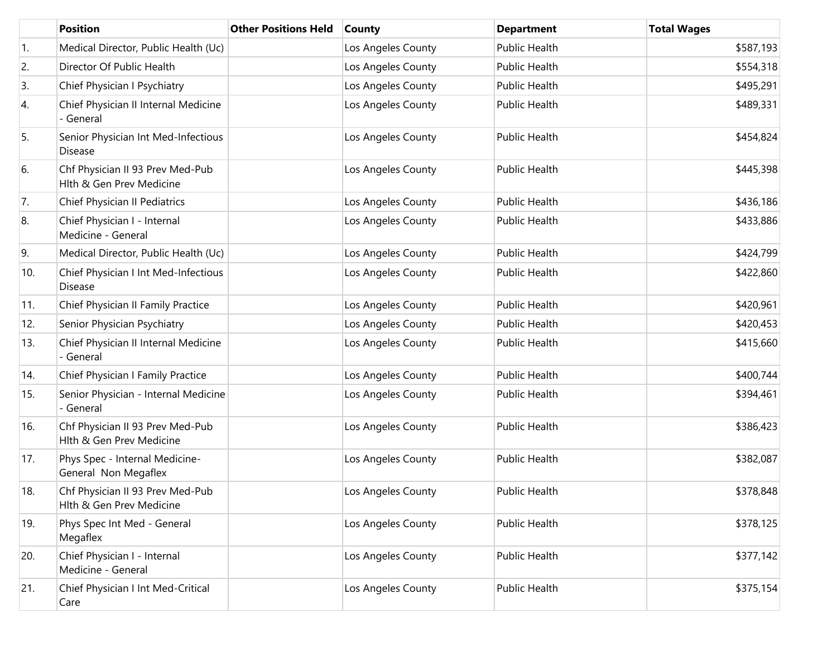|     | <b>Position</b>                                              | <b>Other Positions Held</b> | <b>County</b>      | <b>Department</b>    | <b>Total Wages</b> |
|-----|--------------------------------------------------------------|-----------------------------|--------------------|----------------------|--------------------|
| 1.  | Medical Director, Public Health (Uc)                         |                             | Los Angeles County | Public Health        | \$587,193          |
| 2.  | Director Of Public Health                                    |                             | Los Angeles County | Public Health        | \$554,318          |
| 3.  | Chief Physician I Psychiatry                                 |                             | Los Angeles County | <b>Public Health</b> | \$495,291          |
| 4.  | Chief Physician II Internal Medicine<br>- General            |                             | Los Angeles County | <b>Public Health</b> | \$489,331          |
| 5.  | Senior Physician Int Med-Infectious<br><b>Disease</b>        |                             | Los Angeles County | <b>Public Health</b> | \$454,824          |
| 6.  | Chf Physician II 93 Prev Med-Pub<br>Hlth & Gen Prev Medicine |                             | Los Angeles County | <b>Public Health</b> | \$445,398          |
| 7.  | Chief Physician II Pediatrics                                |                             | Los Angeles County | <b>Public Health</b> | \$436,186          |
| 8.  | Chief Physician I - Internal<br>Medicine - General           |                             | Los Angeles County | Public Health        | \$433,886          |
| 9.  | Medical Director, Public Health (Uc)                         |                             | Los Angeles County | Public Health        | \$424,799          |
| 10. | Chief Physician I Int Med-Infectious<br><b>Disease</b>       |                             | Los Angeles County | Public Health        | \$422,860          |
| 11. | Chief Physician II Family Practice                           |                             | Los Angeles County | <b>Public Health</b> | \$420,961          |
| 12. | Senior Physician Psychiatry                                  |                             | Los Angeles County | Public Health        | \$420,453          |
| 13. | Chief Physician II Internal Medicine<br>- General            |                             | Los Angeles County | Public Health        | \$415,660          |
| 14. | Chief Physician I Family Practice                            |                             | Los Angeles County | <b>Public Health</b> | \$400,744          |
| 15. | Senior Physician - Internal Medicine<br>- General            |                             | Los Angeles County | Public Health        | \$394,461          |
| 16. | Chf Physician II 93 Prev Med-Pub<br>Hlth & Gen Prev Medicine |                             | Los Angeles County | <b>Public Health</b> | \$386,423          |
| 17. | Phys Spec - Internal Medicine-<br>General Non Megaflex       |                             | Los Angeles County | Public Health        | \$382,087          |
| 18. | Chf Physician II 93 Prev Med-Pub<br>Hlth & Gen Prev Medicine |                             | Los Angeles County | Public Health        | \$378,848          |
| 19. | Phys Spec Int Med - General<br>Megaflex                      |                             | Los Angeles County | Public Health        | \$378,125          |
| 20. | Chief Physician I - Internal<br>Medicine - General           |                             | Los Angeles County | Public Health        | \$377,142          |
| 21. | Chief Physician I Int Med-Critical<br>Care                   |                             | Los Angeles County | Public Health        | \$375,154          |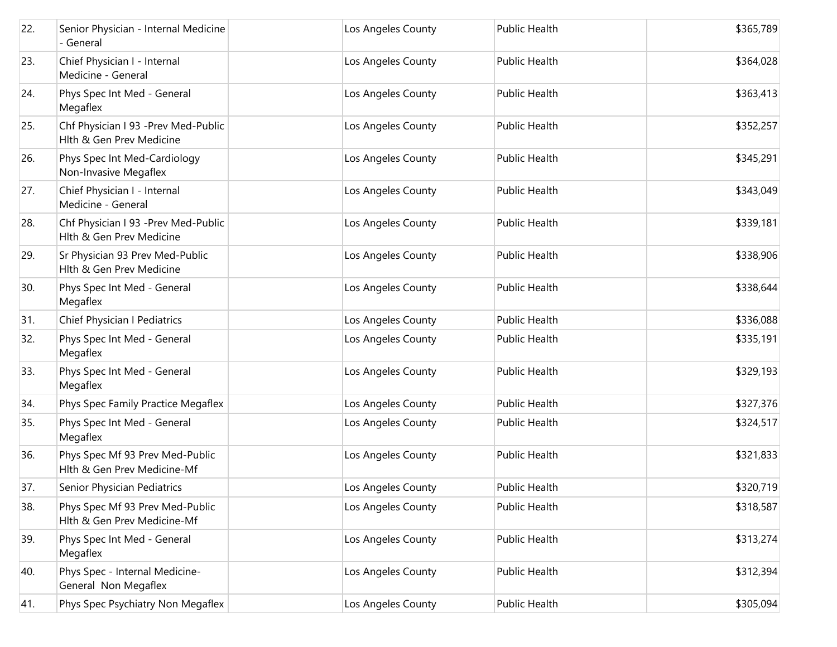| 22. | Senior Physician - Internal Medicine<br>- General               | Los Angeles County | Public Health | \$365,789 |
|-----|-----------------------------------------------------------------|--------------------|---------------|-----------|
| 23. | Chief Physician I - Internal<br>Medicine - General              | Los Angeles County | Public Health | \$364,028 |
| 24. | Phys Spec Int Med - General<br>Megaflex                         | Los Angeles County | Public Health | \$363,413 |
| 25. | Chf Physician I 93 -Prev Med-Public<br>Hlth & Gen Prev Medicine | Los Angeles County | Public Health | \$352,257 |
| 26. | Phys Spec Int Med-Cardiology<br>Non-Invasive Megaflex           | Los Angeles County | Public Health | \$345,291 |
| 27. | Chief Physician I - Internal<br>Medicine - General              | Los Angeles County | Public Health | \$343,049 |
| 28. | Chf Physician I 93 -Prev Med-Public<br>Hlth & Gen Prev Medicine | Los Angeles County | Public Health | \$339,181 |
| 29. | Sr Physician 93 Prev Med-Public<br>Hlth & Gen Prev Medicine     | Los Angeles County | Public Health | \$338,906 |
| 30. | Phys Spec Int Med - General<br>Megaflex                         | Los Angeles County | Public Health | \$338,644 |
| 31. | Chief Physician I Pediatrics                                    | Los Angeles County | Public Health | \$336,088 |
| 32. | Phys Spec Int Med - General<br>Megaflex                         | Los Angeles County | Public Health | \$335,191 |
| 33. | Phys Spec Int Med - General<br>Megaflex                         | Los Angeles County | Public Health | \$329,193 |
| 34. | Phys Spec Family Practice Megaflex                              | Los Angeles County | Public Health | \$327,376 |
| 35. | Phys Spec Int Med - General<br>Megaflex                         | Los Angeles County | Public Health | \$324,517 |
| 36. | Phys Spec Mf 93 Prev Med-Public<br>Hlth & Gen Prev Medicine-Mf  | Los Angeles County | Public Health | \$321,833 |
| 37. | Senior Physician Pediatrics                                     | Los Angeles County | Public Health | \$320,719 |
| 38. | Phys Spec Mf 93 Prev Med-Public<br>Hlth & Gen Prev Medicine-Mf  | Los Angeles County | Public Health | \$318,587 |
| 39. | Phys Spec Int Med - General<br>Megaflex                         | Los Angeles County | Public Health | \$313,274 |
| 40. | Phys Spec - Internal Medicine-<br>General Non Megaflex          | Los Angeles County | Public Health | \$312,394 |
| 41. | Phys Spec Psychiatry Non Megaflex                               | Los Angeles County | Public Health | \$305,094 |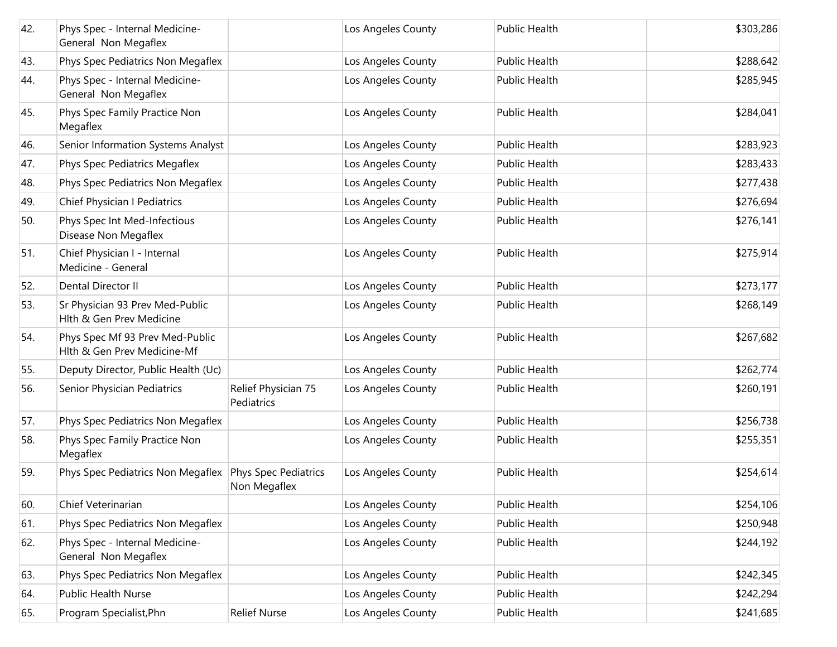| 42. | Phys Spec - Internal Medicine-<br>General Non Megaflex         |                                      | Los Angeles County | Public Health        | \$303,286 |
|-----|----------------------------------------------------------------|--------------------------------------|--------------------|----------------------|-----------|
| 43. | Phys Spec Pediatrics Non Megaflex                              |                                      | Los Angeles County | <b>Public Health</b> | \$288,642 |
| 44. | Phys Spec - Internal Medicine-<br>General Non Megaflex         |                                      | Los Angeles County | Public Health        | \$285,945 |
| 45. | Phys Spec Family Practice Non<br>Megaflex                      |                                      | Los Angeles County | Public Health        | \$284,041 |
| 46. | Senior Information Systems Analyst                             |                                      | Los Angeles County | <b>Public Health</b> | \$283,923 |
| 47. | Phys Spec Pediatrics Megaflex                                  |                                      | Los Angeles County | Public Health        | \$283,433 |
| 48. | Phys Spec Pediatrics Non Megaflex                              |                                      | Los Angeles County | Public Health        | \$277,438 |
| 49. | Chief Physician I Pediatrics                                   |                                      | Los Angeles County | Public Health        | \$276,694 |
| 50. | Phys Spec Int Med-Infectious<br>Disease Non Megaflex           |                                      | Los Angeles County | Public Health        | \$276,141 |
| 51. | Chief Physician I - Internal<br>Medicine - General             |                                      | Los Angeles County | Public Health        | \$275,914 |
| 52. | Dental Director II                                             |                                      | Los Angeles County | <b>Public Health</b> | \$273,177 |
| 53. | Sr Physician 93 Prev Med-Public<br>Hlth & Gen Prev Medicine    |                                      | Los Angeles County | Public Health        | \$268,149 |
| 54. | Phys Spec Mf 93 Prev Med-Public<br>Hlth & Gen Prev Medicine-Mf |                                      | Los Angeles County | <b>Public Health</b> | \$267,682 |
| 55. | Deputy Director, Public Health (Uc)                            |                                      | Los Angeles County | Public Health        | \$262,774 |
| 56. | Senior Physician Pediatrics                                    | Relief Physician 75<br>Pediatrics    | Los Angeles County | Public Health        | \$260,191 |
| 57. | Phys Spec Pediatrics Non Megaflex                              |                                      | Los Angeles County | Public Health        | \$256,738 |
| 58. | Phys Spec Family Practice Non<br>Megaflex                      |                                      | Los Angeles County | Public Health        | \$255,351 |
| 59. | Phys Spec Pediatrics Non Megaflex                              | Phys Spec Pediatrics<br>Non Megaflex | Los Angeles County | Public Health        | \$254,614 |
| 60. | Chief Veterinarian                                             |                                      | Los Angeles County | Public Health        | \$254,106 |
| 61. | Phys Spec Pediatrics Non Megaflex                              |                                      | Los Angeles County | Public Health        | \$250,948 |
| 62. | Phys Spec - Internal Medicine-<br>General Non Megaflex         |                                      | Los Angeles County | Public Health        | \$244,192 |
| 63. | Phys Spec Pediatrics Non Megaflex                              |                                      | Los Angeles County | Public Health        | \$242,345 |
| 64. | Public Health Nurse                                            |                                      | Los Angeles County | Public Health        | \$242,294 |
| 65. | Program Specialist, Phn                                        | <b>Relief Nurse</b>                  | Los Angeles County | Public Health        | \$241,685 |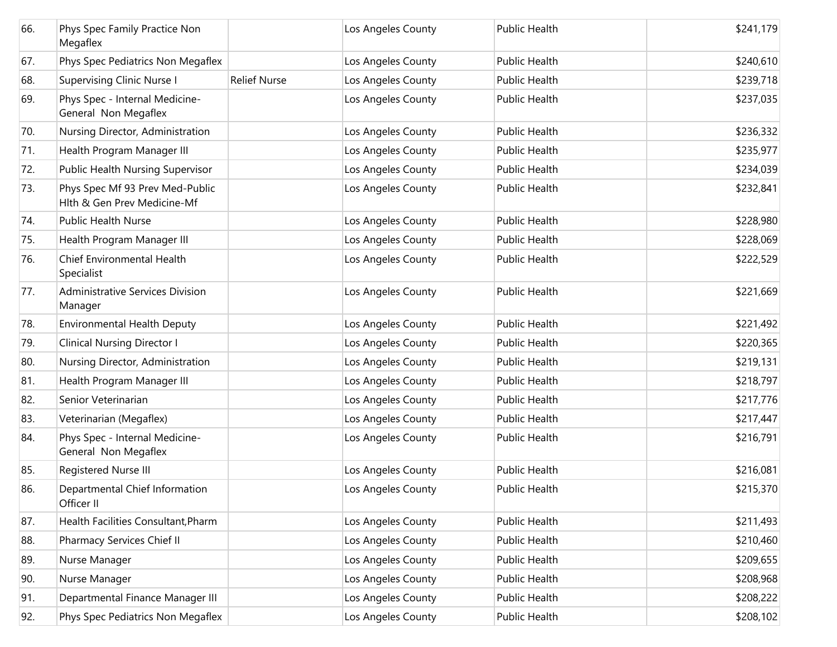| 66. | Phys Spec Family Practice Non<br>Megaflex                      |                     | Los Angeles County | Public Health        | \$241,179 |
|-----|----------------------------------------------------------------|---------------------|--------------------|----------------------|-----------|
| 67. | Phys Spec Pediatrics Non Megaflex                              |                     | Los Angeles County | Public Health        | \$240,610 |
| 68. | <b>Supervising Clinic Nurse I</b>                              | <b>Relief Nurse</b> | Los Angeles County | Public Health        | \$239,718 |
| 69. | Phys Spec - Internal Medicine-<br>General Non Megaflex         |                     | Los Angeles County | Public Health        | \$237,035 |
| 70. | Nursing Director, Administration                               |                     | Los Angeles County | <b>Public Health</b> | \$236,332 |
| 71. | Health Program Manager III                                     |                     | Los Angeles County | Public Health        | \$235,977 |
| 72. | Public Health Nursing Supervisor                               |                     | Los Angeles County | Public Health        | \$234,039 |
| 73. | Phys Spec Mf 93 Prev Med-Public<br>Hlth & Gen Prev Medicine-Mf |                     | Los Angeles County | Public Health        | \$232,841 |
| 74. | <b>Public Health Nurse</b>                                     |                     | Los Angeles County | Public Health        | \$228,980 |
| 75. | Health Program Manager III                                     |                     | Los Angeles County | Public Health        | \$228,069 |
| 76. | Chief Environmental Health<br>Specialist                       |                     | Los Angeles County | Public Health        | \$222,529 |
| 77. | Administrative Services Division<br>Manager                    |                     | Los Angeles County | <b>Public Health</b> | \$221,669 |
| 78. | <b>Environmental Health Deputy</b>                             |                     | Los Angeles County | Public Health        | \$221,492 |
| 79. | <b>Clinical Nursing Director I</b>                             |                     | Los Angeles County | Public Health        | \$220,365 |
| 80. | Nursing Director, Administration                               |                     | Los Angeles County | Public Health        | \$219,131 |
| 81. | Health Program Manager III                                     |                     | Los Angeles County | Public Health        | \$218,797 |
| 82. | Senior Veterinarian                                            |                     | Los Angeles County | Public Health        | \$217,776 |
| 83. | Veterinarian (Megaflex)                                        |                     | Los Angeles County | Public Health        | \$217,447 |
| 84. | Phys Spec - Internal Medicine-<br>General Non Megaflex         |                     | Los Angeles County | Public Health        | \$216,791 |
| 85. | Registered Nurse III                                           |                     | Los Angeles County | Public Health        | \$216,081 |
| 86. | Departmental Chief Information<br>Officer II                   |                     | Los Angeles County | Public Health        | \$215,370 |
| 87. | Health Facilities Consultant, Pharm                            |                     | Los Angeles County | Public Health        | \$211,493 |
| 88. | Pharmacy Services Chief II                                     |                     | Los Angeles County | Public Health        | \$210,460 |
| 89. | Nurse Manager                                                  |                     | Los Angeles County | Public Health        | \$209,655 |
| 90. | Nurse Manager                                                  |                     | Los Angeles County | Public Health        | \$208,968 |
| 91. | Departmental Finance Manager III                               |                     | Los Angeles County | Public Health        | \$208,222 |
| 92. | Phys Spec Pediatrics Non Megaflex                              |                     | Los Angeles County | Public Health        | \$208,102 |